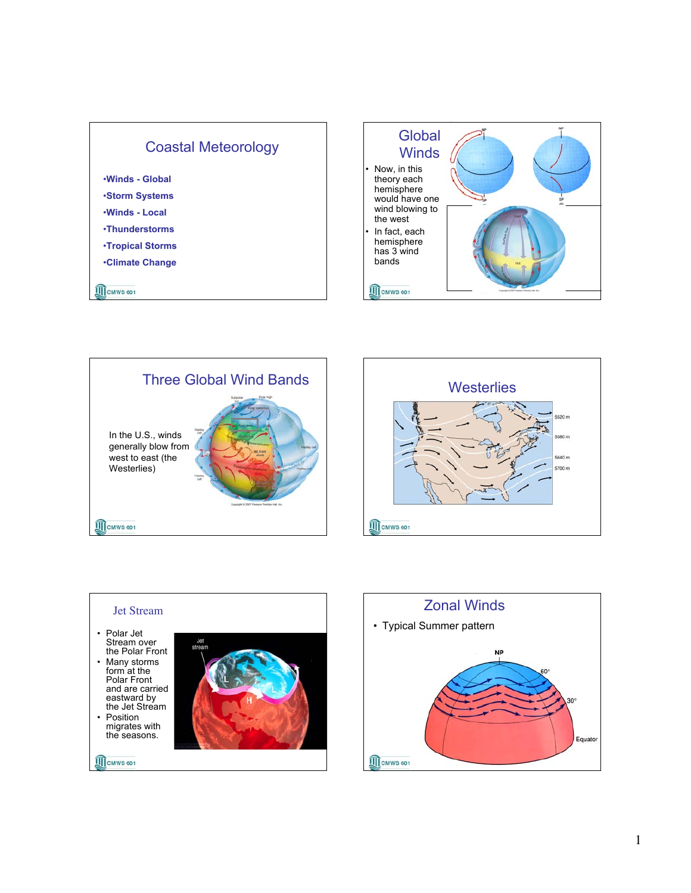









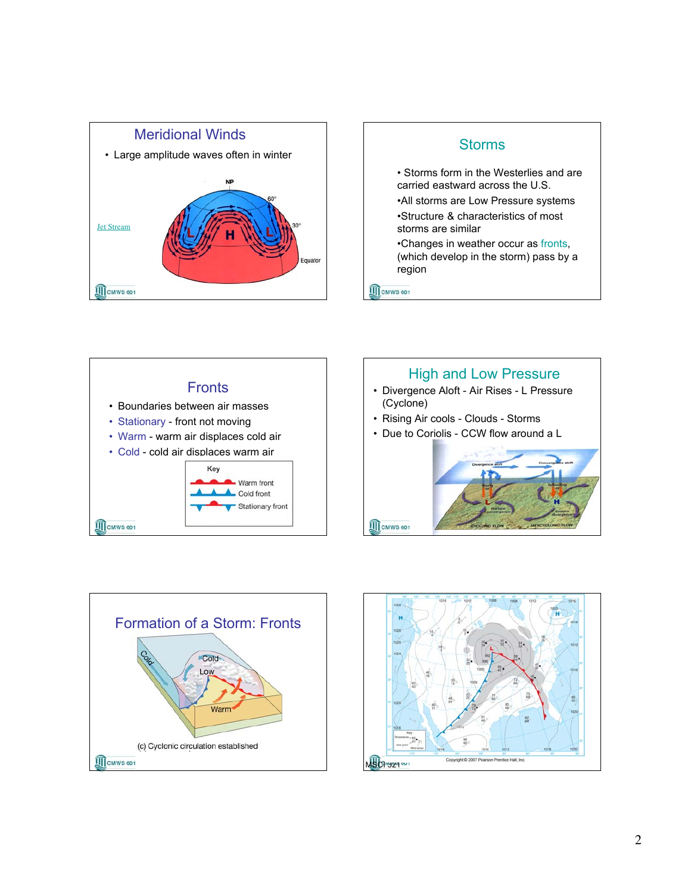









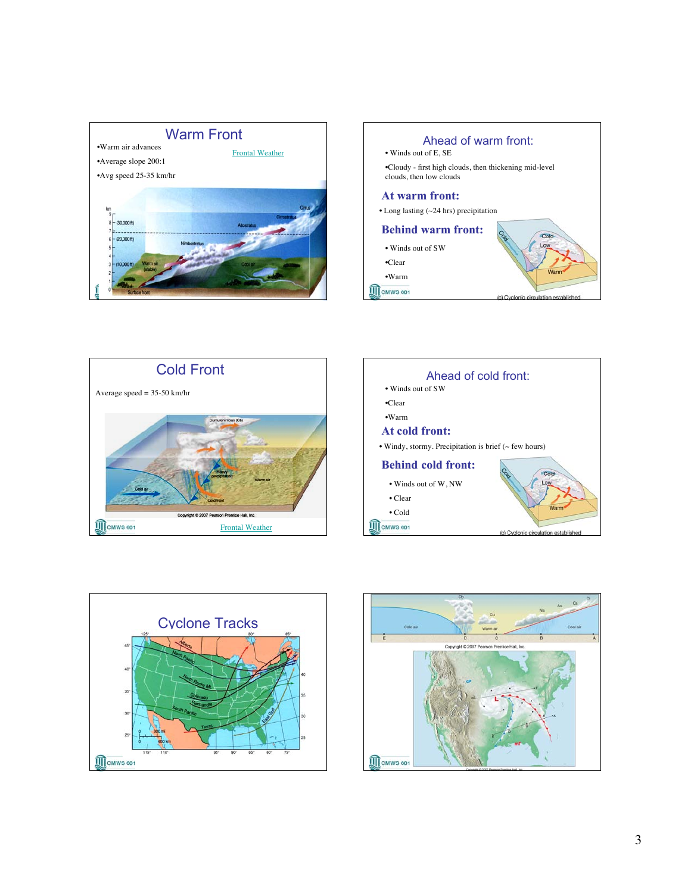









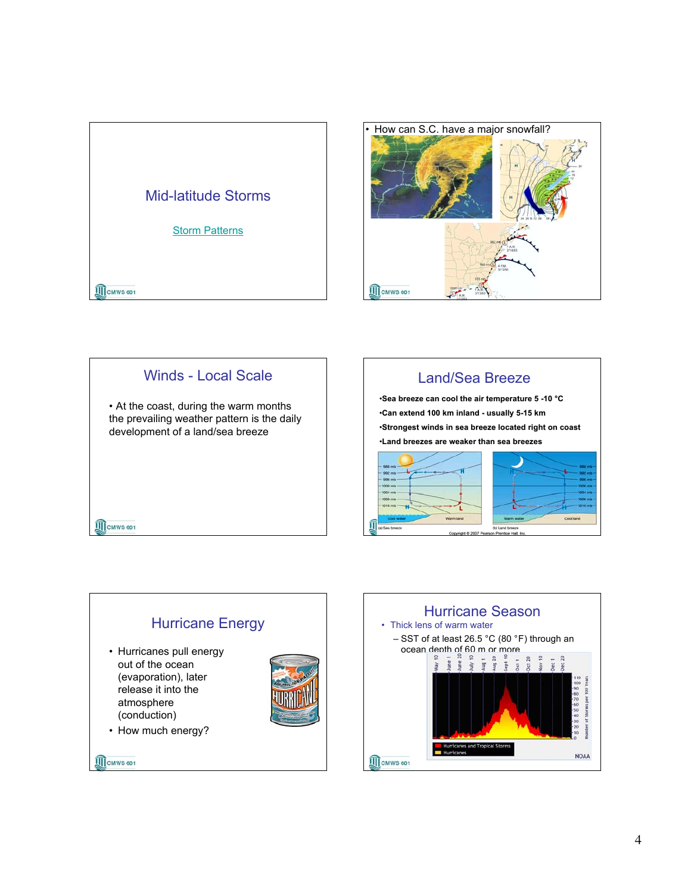







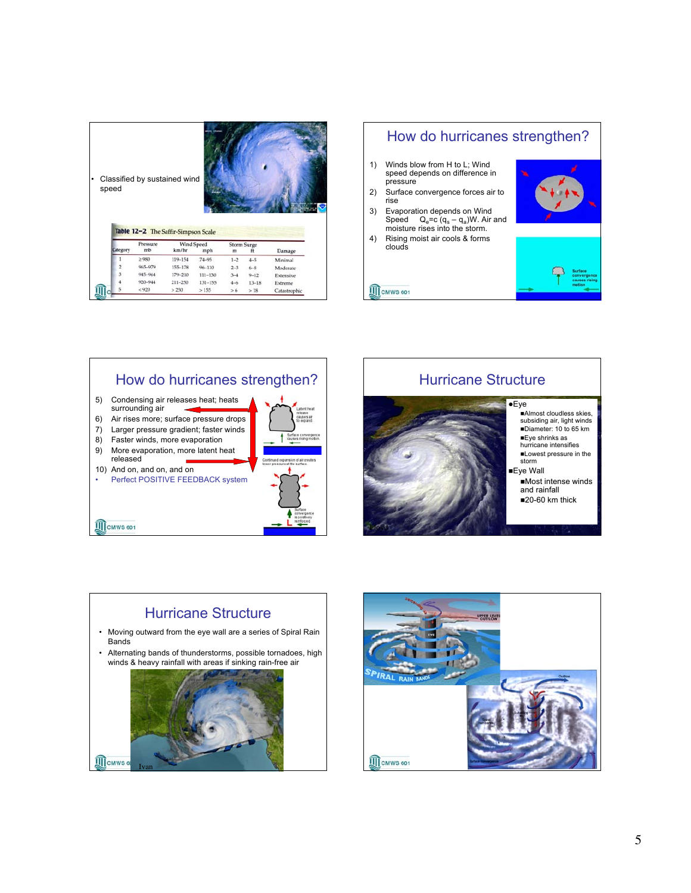| speed    | Classified by sustained wind        |                     |             |                         |           |           |
|----------|-------------------------------------|---------------------|-------------|-------------------------|-----------|-----------|
|          | Table 12-2 The Saffir-Simpson Scale |                     |             |                         |           |           |
| Category | Pressure<br>mb                      | Wind Speed<br>km/hr | mph         | <b>Storm Surge</b><br>m | ft        | Damage    |
|          | $\geq$ 980                          | 119-154             | $74 - 95$   | $1 - 2$                 | $4 - 5$   | Minimal   |
|          | 965-979                             | $155 - 178$         | $96 - 110$  | $2 - 3$                 | $6 - 8$   | Moderate  |
| 3        | 945-964                             | 179-210             | $111 - 130$ | $3 - 4$                 | $9 - 12$  | Extensive |
|          | 920-944                             | 211-250             | $131 - 155$ | $4 - 6$                 | $13 - 18$ | Extreme   |